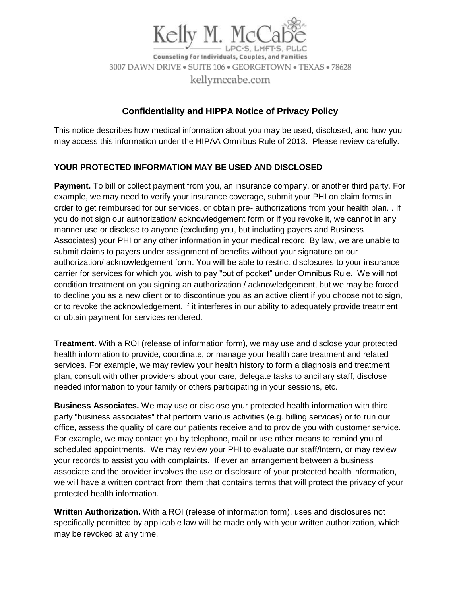

Counseling for Individuals, Couples, and Families 3007 DAWN DRIVE • SUITE 106 • GEORGETOWN • TEXAS • 78628 kellymccabe.com

# **Confidentiality and HIPPA Notice of Privacy Policy**

This notice describes how medical information about you may be used, disclosed, and how you may access this information under the HIPAA Omnibus Rule of 2013. Please review carefully.

## **YOUR PROTECTED INFORMATION MAY BE USED AND DISCLOSED**

**Payment.** To bill or collect payment from you, an insurance company, or another third party. For example, we may need to verify your insurance coverage, submit your PHI on claim forms in order to get reimbursed for our services, or obtain pre- authorizations from your health plan. . If you do not sign our authorization/ acknowledgement form or if you revoke it, we cannot in any manner use or disclose to anyone (excluding you, but including payers and Business Associates) your PHI or any other information in your medical record. By law, we are unable to submit claims to payers under assignment of benefits without your signature on our authorization/ acknowledgement form. You will be able to restrict disclosures to your insurance carrier for services for which you wish to pay "out of pocket" under Omnibus Rule. We will not condition treatment on you signing an authorization / acknowledgement, but we may be forced to decline you as a new client or to discontinue you as an active client if you choose not to sign, or to revoke the acknowledgement, if it interferes in our ability to adequately provide treatment or obtain payment for services rendered.

**Treatment.** With a ROI (release of information form), we may use and disclose your protected health information to provide, coordinate, or manage your health care treatment and related services. For example, we may review your health history to form a diagnosis and treatment plan, consult with other providers about your care, delegate tasks to ancillary staff, disclose needed information to your family or others participating in your sessions, etc.

**Business Associates.** We may use or disclose your protected health information with third party "business associates" that perform various activities (e.g. billing services) or to run our office, assess the quality of care our patients receive and to provide you with customer service. For example, we may contact you by telephone, mail or use other means to remind you of scheduled appointments. We may review your PHI to evaluate our staff/Intern, or may review your records to assist you with complaints. If ever an arrangement between a business associate and the provider involves the use or disclosure of your protected health information, we will have a written contract from them that contains terms that will protect the privacy of your protected health information.

**Written Authorization.** With a ROI (release of information form), uses and disclosures not specifically permitted by applicable law will be made only with your written authorization, which may be revoked at any time.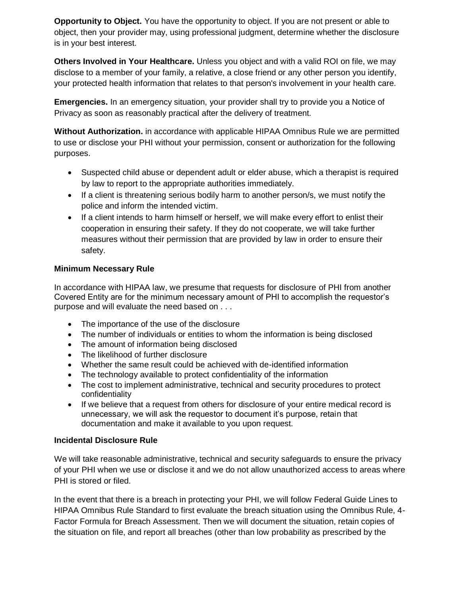**Opportunity to Object.** You have the opportunity to object. If you are not present or able to object, then your provider may, using professional judgment, determine whether the disclosure is in your best interest.

**Others Involved in Your Healthcare.** Unless you object and with a valid ROI on file, we may disclose to a member of your family, a relative, a close friend or any other person you identify, your protected health information that relates to that person's involvement in your health care.

**Emergencies.** In an emergency situation, your provider shall try to provide you a Notice of Privacy as soon as reasonably practical after the delivery of treatment.

**Without Authorization.** in accordance with applicable HIPAA Omnibus Rule we are permitted to use or disclose your PHI without your permission, consent or authorization for the following purposes.

- Suspected child abuse or dependent adult or elder abuse, which a therapist is required by law to report to the appropriate authorities immediately.
- If a client is threatening serious bodily harm to another person/s, we must notify the police and inform the intended victim.
- If a client intends to harm himself or herself, we will make every effort to enlist their cooperation in ensuring their safety. If they do not cooperate, we will take further measures without their permission that are provided by law in order to ensure their safety.

## **Minimum Necessary Rule**

In accordance with HIPAA law, we presume that requests for disclosure of PHI from another Covered Entity are for the minimum necessary amount of PHI to accomplish the requestor's purpose and will evaluate the need based on . . .

- The importance of the use of the disclosure
- The number of individuals or entities to whom the information is being disclosed
- The amount of information being disclosed
- The likelihood of further disclosure
- Whether the same result could be achieved with de-identified information
- The technology available to protect confidentiality of the information
- The cost to implement administrative, technical and security procedures to protect confidentiality
- If we believe that a request from others for disclosure of your entire medical record is unnecessary, we will ask the requestor to document it's purpose, retain that documentation and make it available to you upon request.

#### **Incidental Disclosure Rule**

We will take reasonable administrative, technical and security safeguards to ensure the privacy of your PHI when we use or disclose it and we do not allow unauthorized access to areas where PHI is stored or filed.

In the event that there is a breach in protecting your PHI, we will follow Federal Guide Lines to HIPAA Omnibus Rule Standard to first evaluate the breach situation using the Omnibus Rule, 4- Factor Formula for Breach Assessment. Then we will document the situation, retain copies of the situation on file, and report all breaches (other than low probability as prescribed by the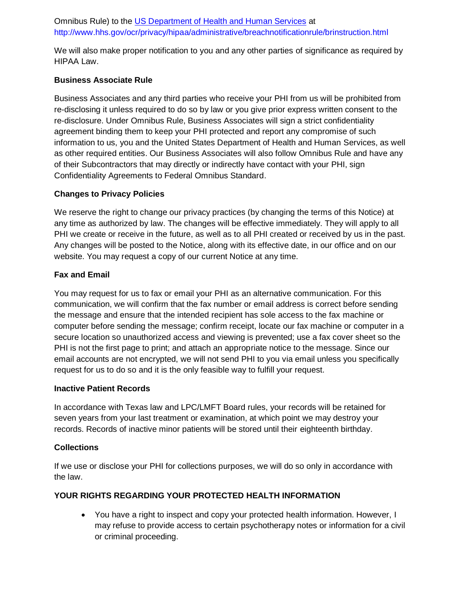# Omnibus Rule) to the [US Department of Health and Human Services](http://www.hhs.gov/ocr/privacy/hipaa/administrative/breachnotificationrule/brinstruction.html) at http://www.hhs.gov/ocr/privacy/hipaa/administrative/breachnotificationrule/brinstruction.html

We will also make proper notification to you and any other parties of significance as required by HIPAA Law.

### **Business Associate Rule**

Business Associates and any third parties who receive your PHI from us will be prohibited from re-disclosing it unless required to do so by law or you give prior express written consent to the re-disclosure. Under Omnibus Rule, Business Associates will sign a strict confidentiality agreement binding them to keep your PHI protected and report any compromise of such information to us, you and the United States Department of Health and Human Services, as well as other required entities. Our Business Associates will also follow Omnibus Rule and have any of their Subcontractors that may directly or indirectly have contact with your PHI, sign Confidentiality Agreements to Federal Omnibus Standard.

#### **Changes to Privacy Policies**

We reserve the right to change our privacy practices (by changing the terms of this Notice) at any time as authorized by law. The changes will be effective immediately. They will apply to all PHI we create or receive in the future, as well as to all PHI created or received by us in the past. Any changes will be posted to the Notice, along with its effective date, in our office and on our website. You may request a copy of our current Notice at any time.

#### **Fax and Email**

You may request for us to fax or email your PHI as an alternative communication. For this communication, we will confirm that the fax number or email address is correct before sending the message and ensure that the intended recipient has sole access to the fax machine or computer before sending the message; confirm receipt, locate our fax machine or computer in a secure location so unauthorized access and viewing is prevented; use a fax cover sheet so the PHI is not the first page to print; and attach an appropriate notice to the message. Since our email accounts are not encrypted, we will not send PHI to you via email unless you specifically request for us to do so and it is the only feasible way to fulfill your request.

#### **Inactive Patient Records**

In accordance with Texas law and LPC/LMFT Board rules, your records will be retained for seven years from your last treatment or examination, at which point we may destroy your records. Records of inactive minor patients will be stored until their eighteenth birthday.

#### **Collections**

If we use or disclose your PHI for collections purposes, we will do so only in accordance with the law.

#### **YOUR RIGHTS REGARDING YOUR PROTECTED HEALTH INFORMATION**

• You have a right to inspect and copy your protected health information. However, I may refuse to provide access to certain psychotherapy notes or information for a civil or criminal proceeding.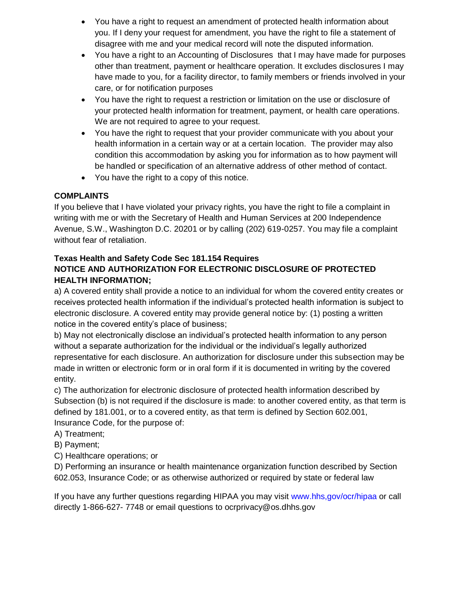- You have a right to request an amendment of protected health information about you. If I deny your request for amendment, you have the right to file a statement of disagree with me and your medical record will note the disputed information.
- You have a right to an Accounting of Disclosures that I may have made for purposes other than treatment, payment or healthcare operation. It excludes disclosures I may have made to you, for a facility director, to family members or friends involved in your care, or for notification purposes
- You have the right to request a restriction or limitation on the use or disclosure of your protected health information for treatment, payment, or health care operations. We are not required to agree to your request.
- You have the right to request that your provider communicate with you about your health information in a certain way or at a certain location. The provider may also condition this accommodation by asking you for information as to how payment will be handled or specification of an alternative address of other method of contact.
- You have the right to a copy of this notice.

# **COMPLAINTS**

If you believe that I have violated your privacy rights, you have the right to file a complaint in writing with me or with the Secretary of Health and Human Services at 200 Independence Avenue, S.W., Washington D.C. 20201 or by calling (202) 619-0257. You may file a complaint without fear of retaliation.

# **Texas Health and Safety Code Sec 181.154 Requires NOTICE AND AUTHORIZATION FOR ELECTRONIC DISCLOSURE OF PROTECTED HEALTH INFORMATION;**

a) A covered entity shall provide a notice to an individual for whom the covered entity creates or receives protected health information if the individual's protected health information is subject to electronic disclosure. A covered entity may provide general notice by: (1) posting a written notice in the covered entity's place of business;

b) May not electronically disclose an individual's protected health information to any person without a separate authorization for the individual or the individual's legally authorized representative for each disclosure. An authorization for disclosure under this subsection may be made in written or electronic form or in oral form if it is documented in writing by the covered entity.

c) The authorization for electronic disclosure of protected health information described by Subsection (b) is not required if the disclosure is made: to another covered entity, as that term is defined by 181.001, or to a covered entity, as that term is defined by Section 602.001, Insurance Code, for the purpose of:

- A) Treatment;
- B) Payment;
- C) Healthcare operations; or

D) Performing an insurance or health maintenance organization function described by Section 602.053, Insurance Code; or as otherwise authorized or required by state or federal law

If you have any further questions regarding HIPAA you may visit www.hhs,gov/ocr/hipaa or call directly 1-866-627- 7748 or email questions to ocrprivacy@os.dhhs.gov